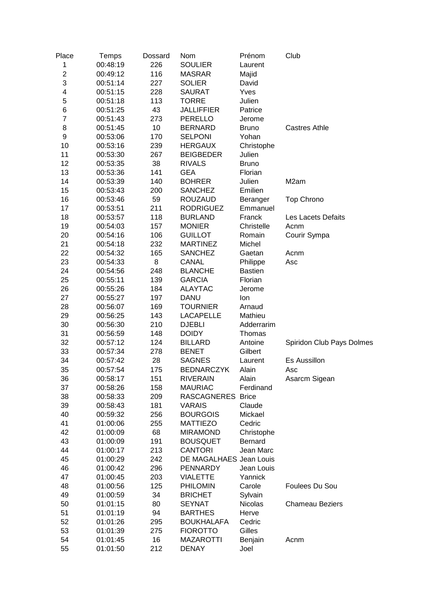| Place          | Temps    | Dossard | Nom                     | Prénom         | Club                      |
|----------------|----------|---------|-------------------------|----------------|---------------------------|
| 1              | 00:48:19 | 226     | <b>SOULIER</b>          | Laurent        |                           |
| $\overline{c}$ | 00:49:12 | 116     | <b>MASRAR</b>           | Majid          |                           |
| 3              | 00:51:14 | 227     | <b>SOLIER</b>           | David          |                           |
| 4              | 00:51:15 | 228     | <b>SAURAT</b>           | Yves           |                           |
| 5              | 00:51:18 | 113     | <b>TORRE</b>            | Julien         |                           |
| 6              | 00:51:25 | 43      | <b>JALLIFFIER</b>       | Patrice        |                           |
| $\overline{7}$ | 00:51:43 | 273     | <b>PERELLO</b>          | Jerome         |                           |
| 8              | 00:51:45 | 10      | <b>BERNARD</b>          | <b>Bruno</b>   | <b>Castres Athle</b>      |
| 9              | 00:53:06 | 170     | <b>SELPONI</b>          | Yohan          |                           |
| 10             | 00:53:16 | 239     | <b>HERGAUX</b>          | Christophe     |                           |
| 11             | 00:53:30 | 267     | <b>BEIGBEDER</b>        | Julien         |                           |
| 12             | 00:53:35 | 38      | <b>RIVALS</b>           | <b>Bruno</b>   |                           |
| 13             |          | 141     | <b>GEA</b>              | Florian        |                           |
|                | 00:53:36 |         |                         |                |                           |
| 14             | 00:53:39 | 140     | <b>BOHRER</b>           | Julien         | M <sub>2</sub> am         |
| 15             | 00:53:43 | 200     | <b>SANCHEZ</b>          | Emilien        |                           |
| 16             | 00:53:46 | 59      | <b>ROUZAUD</b>          | Beranger       | <b>Top Chrono</b>         |
| 17             | 00:53:51 | 211     | <b>RODRIGUEZ</b>        | Emmanuel       |                           |
| 18             | 00:53:57 | 118     | <b>BURLAND</b>          | Franck         | Les Lacets Defaits        |
| 19             | 00:54:03 | 157     | <b>MONIER</b>           | Christelle     | Acnm                      |
| 20             | 00:54:16 | 106     | <b>GUILLOT</b>          | Romain         | Courir Sympa              |
| 21             | 00:54:18 | 232     | <b>MARTINEZ</b>         | Michel         |                           |
| 22             | 00:54:32 | 165     | <b>SANCHEZ</b>          | Gaetan         | Acnm                      |
| 23             | 00:54:33 | 8       | <b>CANAL</b>            | Philippe       | Asc                       |
| 24             | 00:54:56 | 248     | <b>BLANCHE</b>          | <b>Bastien</b> |                           |
| 25             | 00:55:11 | 139     | <b>GARCIA</b>           | Florian        |                           |
| 26             | 00:55:26 | 184     | <b>ALAYTAC</b>          | Jerome         |                           |
| 27             | 00:55:27 | 197     | <b>DANU</b>             | lon            |                           |
| 28             | 00:56:07 | 169     | <b>TOURNIER</b>         | Arnaud         |                           |
| 29             | 00:56:25 | 143     | <b>LACAPELLE</b>        | Mathieu        |                           |
| 30             | 00:56:30 | 210     | <b>DJEBLI</b>           | Adderrarim     |                           |
| 31             | 00:56:59 | 148     | <b>DOIDY</b>            | Thomas         |                           |
| 32             | 00:57:12 | 124     | <b>BILLARD</b>          | Antoine        | Spiridon Club Pays Dolmes |
| 33             | 00:57:34 | 278     | <b>BENET</b>            | Gilbert        |                           |
| 34             | 00:57:42 | 28      | <b>SAGNES</b>           | Laurent        | Es Aussillon              |
| 35             | 00:57:54 | 175     | <b>BEDNARCZYK</b>       | Alain          | Asc                       |
| 36             | 00:58:17 | 151     | <b>RIVERAIN</b>         | Alain          | Asarcm Sigean             |
| 37             | 00:58:26 | 158     | <b>MAURIAC</b>          | Ferdinand      |                           |
| 38             | 00:58:33 | 209     | <b>RASCAGNERES</b>      | <b>Brice</b>   |                           |
| 39             | 00:58:43 | 181     | <b>VARAIS</b>           | Claude         |                           |
| 40             | 00:59:32 | 256     | <b>BOURGOIS</b>         | Mickael        |                           |
| 41             | 01:00:06 | 255     | <b>MATTIEZO</b>         | Cedric         |                           |
| 42             |          | 68      |                         |                |                           |
| 43             | 01:00:09 |         | <b>MIRAMOND</b>         | Christophe     |                           |
|                | 01:00:09 | 191     | <b>BOUSQUET</b>         | Bernard        |                           |
| 44             | 01:00:17 | 213     | <b>CANTORI</b>          | Jean Marc      |                           |
| 45             | 01:00:29 | 242     | DE MAGALHAES Jean Louis |                |                           |
| 46             | 01:00:42 | 296     | <b>PENNARDY</b>         | Jean Louis     |                           |
| 47             | 01:00:45 | 203     | <b>VIALETTE</b>         | Yannick        |                           |
| 48             | 01:00:56 | 125     | <b>PHILOMIN</b>         | Carole         | Foulees Du Sou            |
| 49             | 01:00:59 | 34      | <b>BRICHET</b>          | Sylvain        |                           |
| 50             | 01:01:15 | 80      | <b>SEYNAT</b>           | <b>Nicolas</b> | <b>Chameau Beziers</b>    |
| 51             | 01:01:19 | 94      | <b>BARTHES</b>          | Herve          |                           |
| 52             | 01:01:26 | 295     | <b>BOUKHALAFA</b>       | Cedric         |                           |
| 53             | 01:01:39 | 275     | <b>FIOROTTO</b>         | Gilles         |                           |
| 54             | 01:01:45 | 16      | <b>MAZAROTTI</b>        | Benjain        | Acnm                      |
| 55             | 01:01:50 | 212     | <b>DENAY</b>            | Joel           |                           |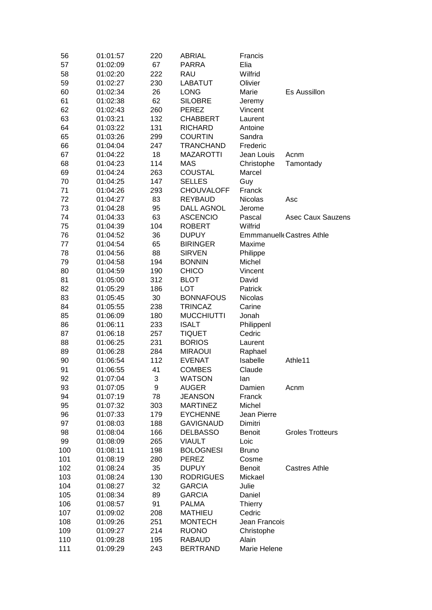| 56  | 01:01:57 | 220 | <b>ABRIAL</b>     | Francis        |                                  |
|-----|----------|-----|-------------------|----------------|----------------------------------|
| 57  | 01:02:09 | 67  | <b>PARRA</b>      | Elia           |                                  |
| 58  | 01:02:20 | 222 | RAU               | Wilfrid        |                                  |
| 59  | 01:02:27 | 230 | <b>LABATUT</b>    | Olivier        |                                  |
| 60  | 01:02:34 | 26  | <b>LONG</b>       | Marie          | <b>Es Aussillon</b>              |
| 61  | 01:02:38 | 62  | <b>SILOBRE</b>    | Jeremy         |                                  |
| 62  | 01:02:43 | 260 | <b>PEREZ</b>      | Vincent        |                                  |
| 63  | 01:03:21 | 132 | <b>CHABBERT</b>   | Laurent        |                                  |
| 64  | 01:03:22 | 131 | <b>RICHARD</b>    | Antoine        |                                  |
| 65  | 01:03:26 | 299 | <b>COURTIN</b>    | Sandra         |                                  |
| 66  | 01:04:04 | 247 | <b>TRANCHAND</b>  | Frederic       |                                  |
| 67  | 01:04:22 | 18  | <b>MAZAROTTI</b>  | Jean Louis     | Acnm                             |
| 68  |          | 114 | <b>MAS</b>        |                |                                  |
|     | 01:04:23 |     |                   | Christophe     | Tamontady                        |
| 69  | 01:04:24 | 263 | <b>COUSTAL</b>    | Marcel         |                                  |
| 70  | 01:04:25 | 147 | <b>SELLES</b>     | Guy            |                                  |
| 71  | 01:04:26 | 293 | <b>CHOUVALOFF</b> | Franck         |                                  |
| 72  | 01:04:27 | 83  | <b>REYBAUD</b>    | <b>Nicolas</b> | Asc                              |
| 73  | 01:04:28 | 95  | <b>DALL AGNOL</b> | Jerome         |                                  |
| 74  | 01:04:33 | 63  | <b>ASCENCIO</b>   | Pascal         | <b>Asec Caux Sauzens</b>         |
| 75  | 01:04:39 | 104 | <b>ROBERT</b>     | Wilfrid        |                                  |
| 76  | 01:04:52 | 36  | <b>DUPUY</b>      |                | <b>Emmmanuelle Castres Athle</b> |
| 77  | 01:04:54 | 65  | <b>BIRINGER</b>   | Maxime         |                                  |
| 78  | 01:04:56 | 88  | <b>SIRVEN</b>     | Philippe       |                                  |
| 79  | 01:04:58 | 194 | <b>BONNIN</b>     | Michel         |                                  |
| 80  | 01:04:59 | 190 | <b>CHICO</b>      | Vincent        |                                  |
| 81  | 01:05:00 | 312 | <b>BLOT</b>       | David          |                                  |
| 82  | 01:05:29 | 186 | <b>LOT</b>        | Patrick        |                                  |
| 83  | 01:05:45 | 30  | <b>BONNAFOUS</b>  | <b>Nicolas</b> |                                  |
| 84  | 01:05:55 | 238 | <b>TRINCAZ</b>    | Carine         |                                  |
| 85  | 01:06:09 | 180 | <b>MUCCHIUTTI</b> | Jonah          |                                  |
| 86  | 01:06:11 | 233 | <b>ISALT</b>      | Philippenl     |                                  |
| 87  | 01:06:18 | 257 | <b>TIQUET</b>     | Cedric         |                                  |
| 88  | 01:06:25 | 231 | <b>BORIOS</b>     | Laurent        |                                  |
| 89  | 01:06:28 | 284 | <b>MIRAOUI</b>    | Raphael        |                                  |
| 90  | 01:06:54 | 112 | <b>EVENAT</b>     | Isabelle       | Athle11                          |
| 91  | 01:06:55 | 41  | <b>COMBES</b>     | Claude         |                                  |
| 92  | 01:07:04 | 3   | <b>WATSON</b>     | lan            |                                  |
| 93  | 01:07:05 | 9   | <b>AUGER</b>      | Damien         | Acnm                             |
| 94  | 01:07:19 | 78  | <b>JEANSON</b>    | Franck         |                                  |
| 95  | 01:07:32 | 303 | <b>MARTINEZ</b>   | Michel         |                                  |
| 96  | 01:07:33 | 179 | <b>EYCHENNE</b>   | Jean Pierre    |                                  |
| 97  | 01:08:03 | 188 | <b>GAVIGNAUD</b>  | Dimitri        |                                  |
|     |          |     |                   |                | <b>Groles Trotteurs</b>          |
| 98  | 01:08:04 | 166 | <b>DELBASSO</b>   | <b>Benoit</b>  |                                  |
| 99  | 01:08:09 | 265 | <b>VIAULT</b>     | Loic           |                                  |
| 100 | 01:08:11 | 198 | <b>BOLOGNESI</b>  | <b>Bruno</b>   |                                  |
| 101 | 01:08:19 | 280 | PEREZ             | Cosme          |                                  |
| 102 | 01:08:24 | 35  | <b>DUPUY</b>      | Benoit         | <b>Castres Athle</b>             |
| 103 | 01:08:24 | 130 | <b>RODRIGUES</b>  | Mickael        |                                  |
| 104 | 01:08:27 | 32  | <b>GARCIA</b>     | Julie          |                                  |
| 105 | 01:08:34 | 89  | <b>GARCIA</b>     | Daniel         |                                  |
| 106 | 01:08:57 | 91  | <b>PALMA</b>      | <b>Thierry</b> |                                  |
| 107 | 01:09:02 | 208 | <b>MATHIEU</b>    | Cedric         |                                  |
| 108 | 01:09:26 | 251 | <b>MONTECH</b>    | Jean Francois  |                                  |
| 109 | 01:09:27 | 214 | <b>RUONO</b>      | Christophe     |                                  |
| 110 | 01:09:28 | 195 | <b>RABAUD</b>     | Alain          |                                  |
| 111 | 01:09:29 | 243 | <b>BERTRAND</b>   | Marie Helene   |                                  |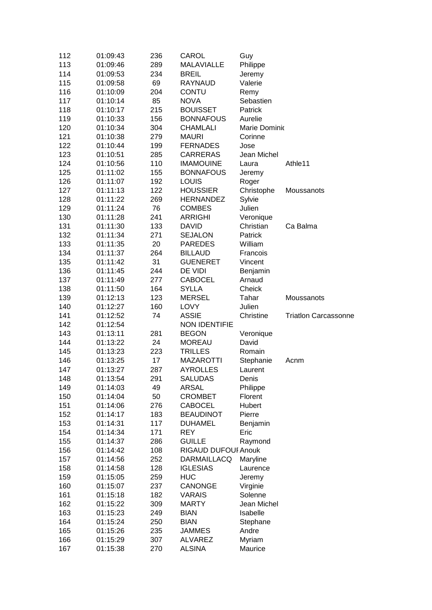| 112        | 01:09:43             | 236        | CAROL                      | Guy             |                             |
|------------|----------------------|------------|----------------------------|-----------------|-----------------------------|
| 113        | 01:09:46             | 289        | <b>MALAVIALLE</b>          | Philippe        |                             |
| 114        | 01:09:53             | 234        | <b>BREIL</b>               | Jeremy          |                             |
| 115        | 01:09:58             | 69         | RAYNAUD                    | Valerie         |                             |
| 116        | 01:10:09             | 204        | <b>CONTU</b>               | Remy            |                             |
| 117        | 01:10:14             | 85         | <b>NOVA</b>                | Sebastien       |                             |
| 118        | 01:10:17             | 215        | <b>BOUISSET</b>            | Patrick         |                             |
| 119        | 01:10:33             | 156        | <b>BONNAFOUS</b>           | Aurelie         |                             |
| 120        | 01:10:34             | 304        | <b>CHAMLALI</b>            | Marie Dominio   |                             |
| 121        | 01:10:38             | 279        | <b>MAURI</b>               | Corinne         |                             |
| 122        | 01:10:44             | 199        | <b>FERNADES</b>            | Jose            |                             |
| 123        | 01:10:51             | 285        | <b>CARRERAS</b>            | Jean Michel     |                             |
| 124        | 01:10:56             | 110        | <b>IMAMOUINE</b>           | Laura           | Athle <sub>11</sub>         |
| 125        | 01:11:02             | 155        | <b>BONNAFOUS</b>           | Jeremy          |                             |
| 126        | 01:11:07             | 192        | <b>LOUIS</b>               | Roger           |                             |
| 127        | 01:11:13             | 122        | <b>HOUSSIER</b>            | Christophe      | Moussanots                  |
| 128        | 01:11:22             | 269        | <b>HERNANDEZ</b>           | Sylvie          |                             |
| 129        | 01:11:24             | 76         | <b>COMBES</b>              | Julien          |                             |
| 130        | 01:11:28             | 241        | <b>ARRIGHI</b>             | Veronique       |                             |
| 131        | 01:11:30             | 133        | <b>DAVID</b>               | Christian       | Ca Balma                    |
| 132        | 01:11:34             | 271        | <b>SEJALON</b>             | Patrick         |                             |
| 133        | 01:11:35             | 20         | <b>PAREDES</b>             | William         |                             |
| 134        | 01:11:37             | 264        | <b>BILLAUD</b>             | Francois        |                             |
| 135        | 01:11:42             | 31         | <b>GUENERET</b>            | Vincent         |                             |
| 136        | 01:11:45             | 244        | DE VIDI                    | Benjamin        |                             |
| 137        | 01:11:49             | 277        | <b>CABOCEL</b>             | Arnaud          |                             |
| 138        | 01:11:50             | 164        | <b>SYLLA</b>               | Cheick          |                             |
| 139        | 01:12:13             | 123        | <b>MERSEL</b>              | Tahar           | Moussanots                  |
|            |                      |            |                            |                 |                             |
|            |                      |            |                            |                 |                             |
| 140        | 01:12:27             | 160        | <b>LOVY</b>                | Julien          |                             |
| 141        | 01:12:52             | 74         | <b>ASSIE</b>               | Christine       | <b>Triatlon Carcassonne</b> |
| 142        | 01:12:54             |            | <b>NON IDENTIFIE</b>       |                 |                             |
| 143        | 01:13:11             | 281        | <b>BEGON</b>               | Veronique       |                             |
| 144        | 01:13:22             | 24         | <b>MOREAU</b>              | David           |                             |
| 145        | 01:13:23             | 223        | <b>TRILLES</b>             | Romain          |                             |
| 146        | 01:13:25             | 17         | <b>MAZAROTTI</b>           | Stephanie       | Acnm                        |
| 147        | 01:13:27             | 287        | <b>AYROLLES</b>            | Laurent         |                             |
| 148        | 01:13:54             | 291        | <b>SALUDAS</b>             | Denis           |                             |
| 149        | 01:14:03             | 49         | <b>ARSAL</b>               | Philippe        |                             |
| 150        | 01:14:04             | 50         | <b>CROMBET</b>             | Florent         |                             |
| 151        | 01:14:06             | 276        | <b>CABOCEL</b>             | Hubert          |                             |
| 152        | 01:14:17             | 183        | <b>BEAUDINOT</b>           | Pierre          |                             |
| 153        | 01:14:31             | 117        | <b>DUHAMEL</b>             | Benjamin        |                             |
| 154        | 01:14:34             | 171        | <b>REY</b>                 | Eric            |                             |
| 155        | 01:14:37             | 286        | <b>GUILLE</b>              | Raymond         |                             |
| 156        | 01:14:42             | 108        | <b>RIGAUD DUFOUI Anouk</b> |                 |                             |
| 157        | 01:14:56             | 252        | <b>DARMAILLACQ</b>         | Maryline        |                             |
| 158        | 01:14:58             | 128        | <b>IGLESIAS</b>            | Laurence        |                             |
| 159        | 01:15:05             | 259        | <b>HUC</b>                 | Jeremy          |                             |
| 160        | 01:15:07             | 237        | CANONGE                    | Virginie        |                             |
| 161        | 01:15:18             | 182        | <b>VARAIS</b>              | Solenne         |                             |
| 162        | 01:15:22             | 309        | <b>MARTY</b>               | Jean Michel     |                             |
| 163        | 01:15:23             | 249        | <b>BIAN</b>                | Isabelle        |                             |
| 164        | 01:15:24             | 250        | <b>BIAN</b>                | Stephane        |                             |
| 165<br>166 | 01:15:26<br>01:15:29 | 235<br>307 | <b>JAMMES</b><br>ALVAREZ   | Andre<br>Myriam |                             |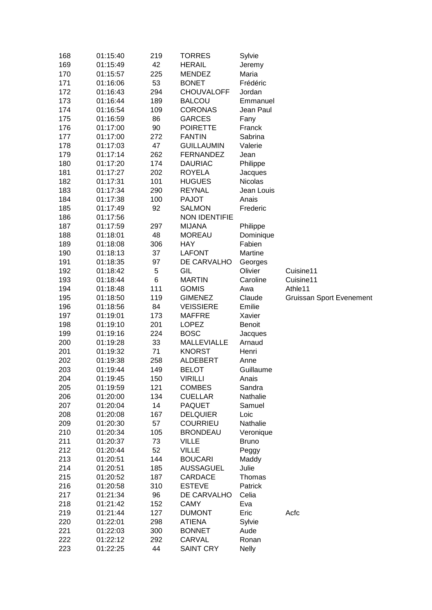| 168        | 01:15:40             | 219       | <b>TORRES</b>            | Sylvie            |                                 |
|------------|----------------------|-----------|--------------------------|-------------------|---------------------------------|
| 169        | 01:15:49             | 42        | <b>HERAIL</b>            | Jeremy            |                                 |
| 170        | 01:15:57             | 225       | <b>MENDEZ</b>            | Maria             |                                 |
| 171        | 01:16:06             | 53        | <b>BONET</b>             | Frédéric          |                                 |
| 172        | 01:16:43             | 294       | <b>CHOUVALOFF</b>        | Jordan            |                                 |
| 173        | 01:16:44             | 189       | <b>BALCOU</b>            | Emmanuel          |                                 |
| 174        | 01:16:54             | 109       | <b>CORONAS</b>           | Jean Paul         |                                 |
| 175        | 01:16:59             | 86        | <b>GARCES</b>            | Fany              |                                 |
| 176        | 01:17:00             | 90        | <b>POIRETTE</b>          | Franck            |                                 |
| 177        | 01:17:00             | 272       | <b>FANTIN</b>            | Sabrina           |                                 |
| 178        | 01:17:03             | 47        | <b>GUILLAUMIN</b>        | Valerie           |                                 |
| 179        | 01:17:14             | 262       | <b>FERNANDEZ</b>         | Jean              |                                 |
| 180        | 01:17:20             | 174       | <b>DAURIAC</b>           | Philippe          |                                 |
| 181        | 01:17:27             | 202       | <b>ROYELA</b>            | Jacques           |                                 |
| 182        | 01:17:31             | 101       | <b>HUGUES</b>            | Nicolas           |                                 |
| 183        | 01:17:34             | 290       | <b>REYNAL</b>            | Jean Louis        |                                 |
| 184        | 01:17:38             | 100       | <b>PAJOT</b>             | Anais             |                                 |
| 185        | 01:17:49             | 92        | <b>SALMON</b>            | Frederic          |                                 |
| 186        | 01:17:56             |           | <b>NON IDENTIFIE</b>     |                   |                                 |
| 187        | 01:17:59             | 297       | <b>MIJANA</b>            | Philippe          |                                 |
| 188        | 01:18:01             | 48        | <b>MOREAU</b>            | Dominique         |                                 |
| 189        | 01:18:08             | 306       | <b>HAY</b>               | Fabien            |                                 |
| 190        | 01:18:13             | 37        | <b>LAFONT</b>            | Martine           |                                 |
| 191        | 01:18:35             | 97        | DE CARVALHO              | Georges           |                                 |
| 192        | 01:18:42             | 5         | GIL                      | Olivier           | Cuisine11                       |
| 193        | 01:18:44             | 6         | <b>MARTIN</b>            | Caroline          | Cuisine11                       |
| 194        | 01:18:48             | 111       | <b>GOMIS</b>             | Awa               | Athle11                         |
| 195        | 01:18:50             | 119       | <b>GIMENEZ</b>           | Claude            | <b>Gruissan Sport Evenement</b> |
|            |                      |           |                          |                   |                                 |
|            |                      |           |                          |                   |                                 |
| 196        | 01:18:56             | 84        | <b>VEISSIERE</b>         | Emilie            |                                 |
| 197        | 01:19:01             | 173       | <b>MAFFRE</b>            | Xavier            |                                 |
| 198        | 01:19:10             | 201       | <b>LOPEZ</b>             | <b>Benoit</b>     |                                 |
| 199        | 01:19:16             | 224       | <b>BOSC</b>              | Jacques           |                                 |
| 200        | 01:19:28             | 33        | <b>MALLEVIALLE</b>       | Arnaud            |                                 |
| 201        | 01:19:32             | 71        | <b>KNORST</b>            | Henri             |                                 |
| 202        | 01:19:38             | 258       | <b>ALDEBERT</b>          | Anne              |                                 |
| 203        | 01:19:44             | 149       | <b>BELOT</b>             | Guillaume         |                                 |
| 204        | 01:19:45             | 150       | VIRILLI                  | Anais             |                                 |
| 205        | 01:19:59             | 121       | <b>COMBES</b>            | Sandra            |                                 |
| 206        | 01:20:00             | 134       | <b>CUELLAR</b>           | Nathalie          |                                 |
| 207        | 01:20:04             | 14        | <b>PAQUET</b>            | Samuel            |                                 |
| 208        | 01:20:08             | 167       | <b>DELQUIER</b>          | Loic              |                                 |
| 209        | 01:20:30             | 57        | <b>COURRIEU</b>          | Nathalie          |                                 |
| 210        | 01:20:34             | 105       | <b>BRONDEAU</b>          | Veronique         |                                 |
| 211        | 01:20:37             | 73        | <b>VILLE</b>             | <b>Bruno</b>      |                                 |
| 212        | 01:20:44             | 52        | <b>VILLE</b>             | Peggy             |                                 |
| 213        | 01:20:51             | 144       | <b>BOUCARI</b>           | Maddy             |                                 |
| 214        | 01:20:51             | 185       | <b>AUSSAGUEL</b>         | Julie             |                                 |
| 215        | 01:20:52             | 187       | CARDACE<br><b>ESTEVE</b> | Thomas<br>Patrick |                                 |
| 216<br>217 | 01:20:58<br>01:21:34 | 310       | DE CARVALHO              | Celia             |                                 |
| 218        | 01:21:42             | 96<br>152 | <b>CAMY</b>              | Eva               |                                 |
|            |                      | 127       | <b>DUMONT</b>            | Eric              | Acfc                            |
| 219<br>220 | 01:21:44<br>01:22:01 | 298       | <b>ATIENA</b>            |                   |                                 |
| 221        | 01:22:03             | 300       | <b>BONNET</b>            | Sylvie<br>Aude    |                                 |
| 222        | 01:22:12             | 292       | CARVAL                   | Ronan             |                                 |
| 223        | 01:22:25             | 44        | <b>SAINT CRY</b>         | <b>Nelly</b>      |                                 |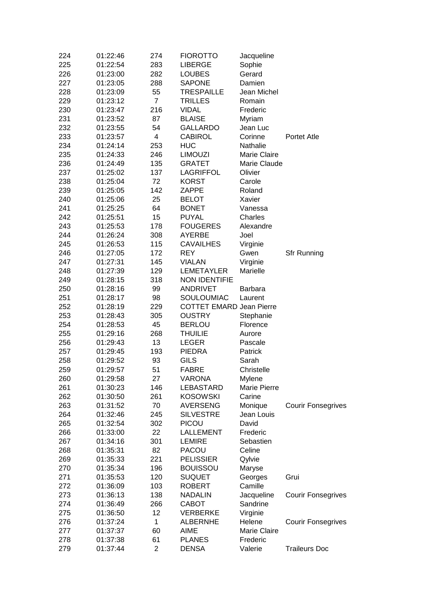| 224 | 01:22:46 | 274            | <b>FIOROTTO</b>                 | Jacqueline     |                           |
|-----|----------|----------------|---------------------------------|----------------|---------------------------|
| 225 | 01:22:54 | 283            | <b>LIBERGE</b>                  | Sophie         |                           |
| 226 | 01:23:00 | 282            | <b>LOUBES</b>                   | Gerard         |                           |
| 227 | 01:23:05 | 288            | <b>SAPONE</b>                   | Damien         |                           |
| 228 | 01:23:09 | 55             | <b>TRESPAILLE</b>               | Jean Michel    |                           |
| 229 | 01:23:12 | $\overline{7}$ | <b>TRILLES</b>                  | Romain         |                           |
| 230 | 01:23:47 | 216            | VIDAL                           | Frederic       |                           |
| 231 | 01:23:52 | 87             | <b>BLAISE</b>                   | Myriam         |                           |
| 232 | 01:23:55 | 54             | GALLARDO                        | Jean Luc       |                           |
| 233 | 01:23:57 | 4              | <b>CABIROL</b>                  | Corinne        | <b>Portet Atle</b>        |
| 234 | 01:24:14 | 253            | <b>HUC</b>                      | Nathalie       |                           |
| 235 | 01:24:33 | 246            | <b>LIMOUZI</b>                  | Marie Claire   |                           |
| 236 | 01:24:49 | 135            | <b>GRATET</b>                   | Marie Claude   |                           |
| 237 | 01:25:02 | 137            | <b>LAGRIFFOL</b>                | Olivier        |                           |
| 238 | 01:25:04 | 72             | <b>KORST</b>                    | Carole         |                           |
| 239 | 01:25:05 | 142            | ZAPPE                           | Roland         |                           |
| 240 | 01:25:06 | 25             | <b>BELOT</b>                    | Xavier         |                           |
| 241 | 01:25:25 | 64             | <b>BONET</b>                    | Vanessa        |                           |
| 242 | 01:25:51 | 15             | <b>PUYAL</b>                    | Charles        |                           |
| 243 | 01:25:53 | 178            | <b>FOUGERES</b>                 | Alexandre      |                           |
| 244 | 01:26:24 | 308            | AYERBE                          | Joel           |                           |
| 245 | 01:26:53 | 115            | <b>CAVAILHES</b>                | Virginie       |                           |
| 246 | 01:27:05 | 172            | <b>REY</b>                      | Gwen           | <b>Sfr Running</b>        |
| 247 | 01:27:31 | 145            | <b>VIALAN</b>                   | Virginie       |                           |
| 248 | 01:27:39 | 129            | <b>LEMETAYLER</b>               | Marielle       |                           |
| 249 | 01:28:15 | 318            | <b>NON IDENTIFIE</b>            |                |                           |
| 250 | 01:28:16 | 99             | <b>ANDRIVET</b>                 | <b>Barbara</b> |                           |
| 251 | 01:28:17 | 98             | SOULOUMIAC                      | Laurent        |                           |
| 252 | 01:28:19 | 229            | <b>COTTET EMARD Jean Pierre</b> |                |                           |
| 253 | 01:28:43 | 305            | <b>OUSTRY</b>                   | Stephanie      |                           |
| 254 | 01:28:53 | 45             | <b>BERLOU</b>                   | Florence       |                           |
| 255 | 01:29:16 | 268            | <b>THUILIE</b>                  | Aurore         |                           |
| 256 | 01:29:43 | 13             | <b>LEGER</b>                    | Pascale        |                           |
| 257 | 01:29:45 | 193            | <b>PIEDRA</b>                   | Patrick        |                           |
| 258 | 01:29:52 | 93             | <b>GILS</b>                     | Sarah          |                           |
| 259 | 01:29:57 | 51             | <b>FABRE</b>                    | Christelle     |                           |
| 260 | 01:29:58 | 27             | VARONA                          | Mylene         |                           |
| 261 | 01:30:23 | 146            | LEBASTARD                       | Marie Pierre   |                           |
| 262 | 01:30:50 | 261            | <b>KOSOWSKI</b>                 | Carine         |                           |
| 263 | 01:31:52 | 70             | <b>AVERSENG</b>                 | Monique        | <b>Courir Fonsegrives</b> |
| 264 | 01:32:46 | 245            | <b>SILVESTRE</b>                | Jean Louis     |                           |
| 265 | 01:32:54 | 302            | <b>PICOU</b>                    | David          |                           |
| 266 | 01:33:00 | 22             | LALLEMENT                       | Frederic       |                           |
| 267 | 01:34:16 | 301            | <b>LEMIRE</b>                   | Sebastien      |                           |
|     |          | 82             | <b>PACOU</b>                    | Celine         |                           |
| 268 | 01:35:31 | 221            |                                 |                |                           |
| 269 | 01:35:33 |                | <b>PELISSIER</b>                | Qylvie         |                           |
| 270 | 01:35:34 | 196            | <b>BOUISSOU</b>                 | Maryse         |                           |
| 271 | 01:35:53 | 120            | <b>SUQUET</b>                   | Georges        | Grui                      |
| 272 | 01:36:09 | 103            | <b>ROBERT</b>                   | Camille        |                           |
| 273 | 01:36:13 | 138            | <b>NADALIN</b>                  | Jacqueline     | <b>Courir Fonsegrives</b> |
| 274 | 01:36:49 | 266            | CABOT                           | Sandrine       |                           |
| 275 | 01:36:50 | 12             | <b>VERBERKE</b>                 | Virginie       |                           |
| 276 | 01:37:24 | 1              | <b>ALBERNHE</b>                 | Helene         | <b>Courir Fonsegrives</b> |
| 277 | 01:37:37 | 60             | AIME                            | Marie Claire   |                           |
| 278 | 01:37:38 | 61             | <b>PLANES</b>                   | Frederic       |                           |
| 279 | 01:37:44 | $\overline{2}$ | <b>DENSA</b>                    | Valerie        | <b>Traileurs Doc</b>      |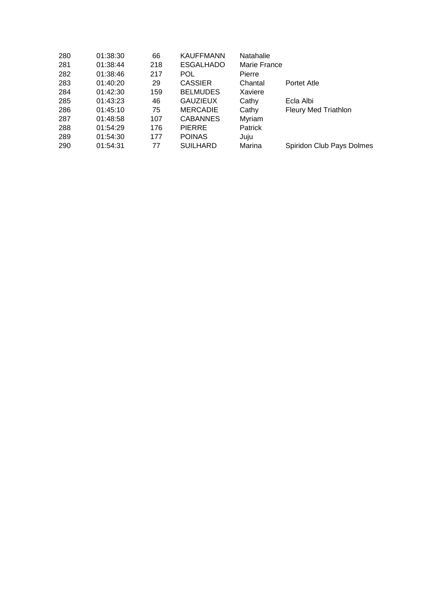| 01:38:30 | 66  | <b>KAUFFMANN</b> | Natahalie      |                             |
|----------|-----|------------------|----------------|-----------------------------|
| 01:38:44 | 218 | <b>ESGALHADO</b> | Marie France   |                             |
| 01:38:46 | 217 | POL              | Pierre         |                             |
| 01:40:20 | 29  | <b>CASSIER</b>   | Chantal        | Portet Atle                 |
| 01:42:30 | 159 | <b>BELMUDES</b>  | Xaviere        |                             |
| 01:43:23 | 46  | <b>GAUZIEUX</b>  | Cathy          | Ecla Albi                   |
| 01:45:10 | 75  | <b>MERCADIE</b>  | Cathy          | <b>Fleury Med Triathlon</b> |
| 01:48:58 | 107 | <b>CABANNES</b>  | Myriam         |                             |
| 01:54:29 | 176 | <b>PIERRE</b>    | <b>Patrick</b> |                             |
| 01:54:30 | 177 | <b>POINAS</b>    | Juju           |                             |
| 01:54:31 | 77  | <b>SUILHARD</b>  | Marina         | Spiridon Club Pays Dolmes   |
|          |     |                  |                |                             |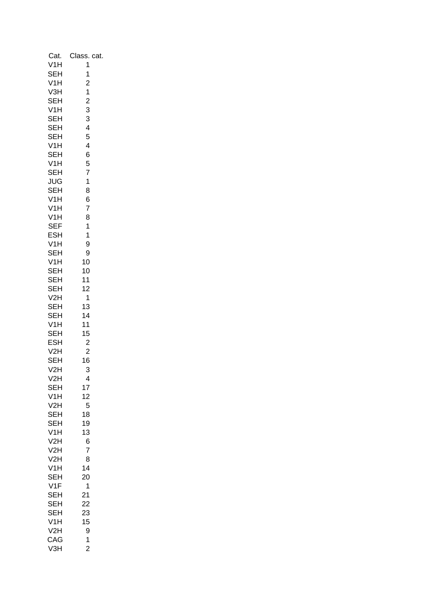| Cat.             | Class.<br>cat.                             |
|------------------|--------------------------------------------|
| V1H              | 1                                          |
| SEH              | 1                                          |
| V1H              | $\overline{\mathbf{c}}$                    |
| V <sub>3</sub> H | $\frac{1}{2}$                              |
| SEH              |                                            |
| V1H              | $\begin{array}{c} 3 \\ 3 \\ 4 \end{array}$ |
| SEH<br>SEH       |                                            |
| SEH              | 5                                          |
| V1H              | 4                                          |
| SEH              | 6                                          |
| V1H              | 5                                          |
| SEH              | $\overline{7}$                             |
| JUG              | 1                                          |
| SEH              | 8                                          |
| V <sub>1</sub> H | 6                                          |
| V1H              | 7                                          |
| V1H              | 8                                          |
| <b>SEF</b>       | 1                                          |
| ESH              | 1                                          |
| V1H              | 9                                          |
| SEH<br>V1H       | 9                                          |
| SEH              | 10<br>10                                   |
| SEH              | 11                                         |
| SEH              | 12                                         |
| V2H              | 1                                          |
| SEH              | 13                                         |
| SEH              | 14                                         |
| V1H              | 11                                         |
| SEH              | 15                                         |
| ESH              | $\overline{c}$                             |
| V2H              | $\overline{c}$                             |
| SEH              | 16                                         |
| V2H              | 3                                          |
| V2H<br>SEH       | 4                                          |
| V1H              | 17<br>12                                   |
| V2H              | 5                                          |
| SEH              | 18                                         |
| -<br>SEH         | 19                                         |
| V1H              | 13                                         |
| V2H              | 6                                          |
| V2H              | 7                                          |
| V2H              | 8                                          |
| V1H              | 14                                         |
| SEH              | 20                                         |
| V <sub>1</sub> F | 1                                          |
| SEH              | 21                                         |
| SEH<br>SEH       | 22<br>23                                   |
| V1H              | 15                                         |
| V2H              | 9                                          |
| CAG              | $\overline{\mathbf{1}}$                    |
| V <sub>3</sub> H | $\overline{2}$                             |
|                  |                                            |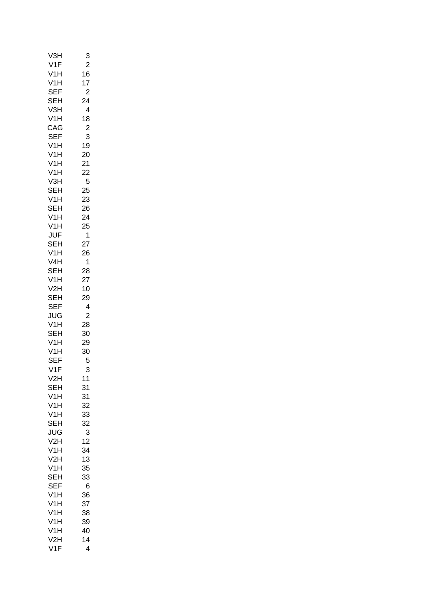| V3H                                | 3              |
|------------------------------------|----------------|
| V1F                                | $\overline{c}$ |
| V1H                                | 16             |
| V1H                                | 17             |
| <b>SEF</b>                         | $\overline{c}$ |
| SEH                                | 24             |
| V3H                                | 4              |
| V1H                                | 18             |
| CAG                                | $\overline{c}$ |
| <b>SEF</b>                         | 3              |
| V1H                                | 19             |
|                                    |                |
| V1H                                | 20             |
| V1H                                | 21             |
| V1H                                | 22             |
| V <sub>3</sub> H                   | 5              |
| - - - -<br>SEH<br>SEH<br>- - - - - | 25             |
|                                    | 23             |
|                                    | 26             |
| V1H                                | 24             |
| V1H                                | 25             |
| JUF                                | 1              |
| SEH                                | 27             |
| V <sub>1</sub> H                   | 26             |
| V4H                                | 1              |
| SEH                                | 28             |
| V1H                                | 27             |
| V2H                                | 10             |
| SEH                                | 29             |
|                                    |                |
| <b>SEF</b>                         | 4              |
| JUG                                | $\overline{c}$ |
| V1H                                | 28             |
|                                    | 30             |
| v :::<br>SEH<br>V1H<br>V1H         | 29             |
|                                    | 30             |
| SEF                                | 5              |
| V1F                                | 3              |
| V2H                                | $11$           |
| SEH                                | 31             |
| V1H                                | 31             |
| V1H                                | 32             |
| V1H                                | 33             |
| SEH                                | 32             |
| JUG                                | 3              |
| V2H                                | 12             |
| V1H                                | 34             |
| V2H                                | 13             |
| V1H                                | 35             |
| <b>SEH</b>                         | 33             |
| <b>SEF</b>                         | 6              |
|                                    |                |
| V1H<br>V1H                         | 36             |
|                                    | 37             |
| V1H                                | 38             |
| V1H                                | 39             |
| V <sub>1</sub> H                   | 40             |
| V2H                                | 14             |
| V1F                                | 4              |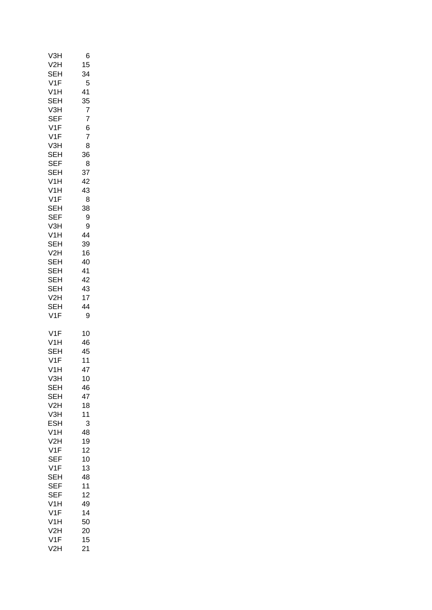| V3H                     | 6        |
|-------------------------|----------|
| V2H                     | 15       |
| SEH<br>V1F              | 34<br>5  |
| V <sub>1</sub> H        | 41       |
| SEH                     | 35       |
| V <sub>3</sub> H        | 7        |
| <b>SEF</b>              | 7        |
| V1F                     | 6        |
| V1F                     | 7        |
| V3H<br>SEH              | 8        |
| <b>SEF</b>              | 36<br>8  |
| <b>SEH</b>              | 37       |
| V1H                     | 42       |
| V1H                     | 43       |
| V1F                     | 8        |
| SEH                     | 38       |
| <b>SEF</b>              | 9        |
| V3H<br>V <sub>1</sub> H | 9<br>44  |
| SEH                     | 39       |
| V2H                     | 16       |
| SEH                     | 40       |
| SEH                     | 41       |
| SEH                     | 42       |
| SEH                     | 43       |
| V2H                     | 17<br>44 |
| SEH<br>V1F              | 9        |
|                         |          |
| V1F                     | 10       |
| V1H<br>SEH              | 46<br>45 |
| V1F                     | 11       |
| V1H                     | 47       |
| V <sub>3</sub> H        | 10       |
| SEH                     | 46       |
| SEH                     | 47       |
| V2H                     | 18       |
| V3H<br>ESH              | 11<br>3  |
| V1H                     | 48       |
| V2H                     | 19       |
| V <sub>1</sub> F        | 12       |
| <b>SEF</b>              | 10       |
| V1F                     | 13       |
| SEH<br><b>SEF</b>       | 48       |
| <b>SEF</b>              | 11<br>12 |
| V1H                     | 49       |
| V1F                     | 14       |
| V1H                     | 50       |
| V2H                     | 20       |
| V1F                     | 15       |
| V2H                     | 21       |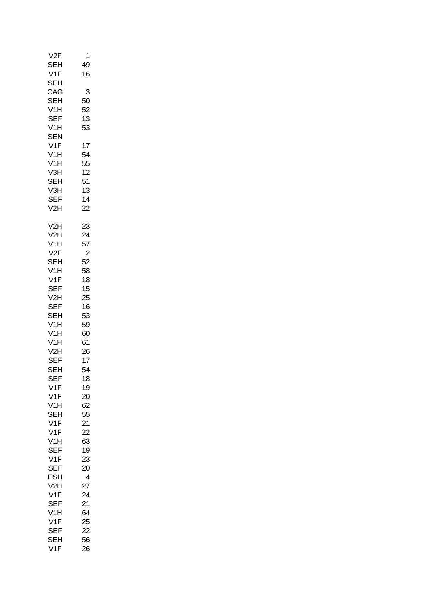| V2F<br><b>SEH</b><br>V1F<br><b>SEH</b>               | 1<br>49<br>16                          |
|------------------------------------------------------|----------------------------------------|
| CAG<br>SEH<br>V1H<br><b>SEF</b><br>V1H<br><b>SEN</b> | 3<br>50<br>52<br>13<br>53              |
| V1F                                                  | 17                                     |
| V <sub>1</sub> H                                     | 54                                     |
| V <sub>1</sub> H                                     | 55                                     |
| V3H                                                  | 12                                     |
| <b>SEH</b>                                           | 51                                     |
| V3H                                                  | 13                                     |
| <b>SEF</b>                                           | 14                                     |
| V2H                                                  | 22                                     |
| V2H                                                  | 23                                     |
| V2H                                                  | 24                                     |
| V1H                                                  | 57                                     |
| V2F                                                  | $\overline{c}$                         |
| SEH                                                  | 52                                     |
| V1H                                                  | 58                                     |
| V1F                                                  | 18                                     |
| <b>SEF</b>                                           | 15                                     |
| V2H                                                  | 25                                     |
| <b>SEF</b>                                           | 16                                     |
| SEH                                                  | 53                                     |
| V <sub>1</sub> H                                     | 59                                     |
| V <sub>1</sub> H                                     | 60                                     |
| V <sub>1</sub> H                                     | 61                                     |
| V2H                                                  | 26                                     |
| <b>SEF</b><br>SEH<br><b>SEF</b><br>V1F<br>V1F<br>V1H | 17<br>54<br>18<br>19<br>20<br>62<br>55 |
| SEH<br>V1F<br>V1F<br>V1H<br>SEF<br>V1F<br><b>SEF</b> | 21<br>22<br>63<br>19<br>23<br>20       |
| ESH                                                  | 4                                      |
| V2H                                                  | 27                                     |
| V1F                                                  | 24                                     |
| SEF                                                  | 21                                     |
| V1H                                                  | 64                                     |
| V1F                                                  | 25                                     |
| SEF                                                  | 22                                     |
| SEH                                                  | 56                                     |
| V1F                                                  | 26                                     |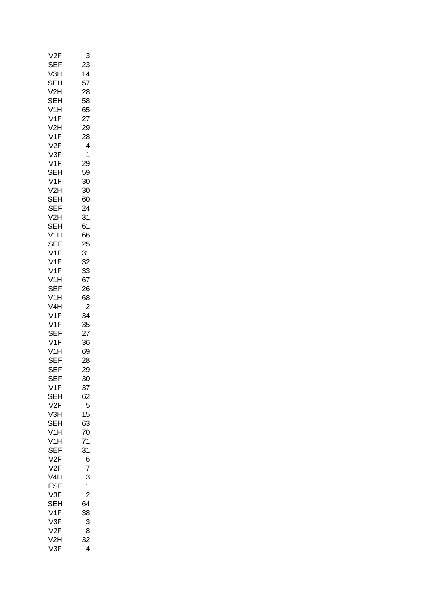| V2F               | 3               |
|-------------------|-----------------|
| SEF               | 23              |
| V3H               | 14              |
| SEH               | 57              |
| V2H               | 28              |
| SEH               | 58              |
| V <sub>1</sub> H  | 65              |
| V1F               | 27              |
|                   |                 |
| V2H               | 29              |
| V1F               | 28              |
| V2F               | 4               |
| V3F               | 1               |
| V1F               | 29              |
| SEH               | 59              |
| V1F               | 30              |
| V2H               | 30              |
| SEH               | 60              |
| -<br>SEF          | 24              |
| V2H<br>SEH        | 31              |
|                   | 61              |
| V1H               | 66              |
| SEF               | 25              |
| V1F               | 31              |
| V1F               | 32              |
| V1F               |                 |
|                   | 33              |
| V1H               | 67              |
| <b>SEF</b>        | 26              |
| V1H               | 68              |
| V4H               | $\overline{c}$  |
| V1F               | 34              |
| V1F<br>SEF<br>V1F | 35              |
|                   | 27              |
|                   | 36              |
| V1H               | 69              |
| SEF               | 28              |
| SEF<br>SEF<br>SEF | 29              |
|                   | 30 <sup>2</sup> |
| V1F               | 37              |
| SEH               | 62              |
| V2F               | 5               |
| V3H               | 15              |
| SEH               | 63              |
| V1H               | 70              |
|                   |                 |
| V1H               | 71              |
| <b>SEF</b>        | 31              |
| V2F               | 6               |
| V2F               | 7               |
| V4H               | 3               |
| ESF               | 1               |
| V3F               | $\overline{c}$  |
|                   | 64              |
| SEH<br>V1F        | 38              |
| V3F               | 3               |
| V2F               | 8               |
| V2H               | 32              |
| V3F               | 4               |